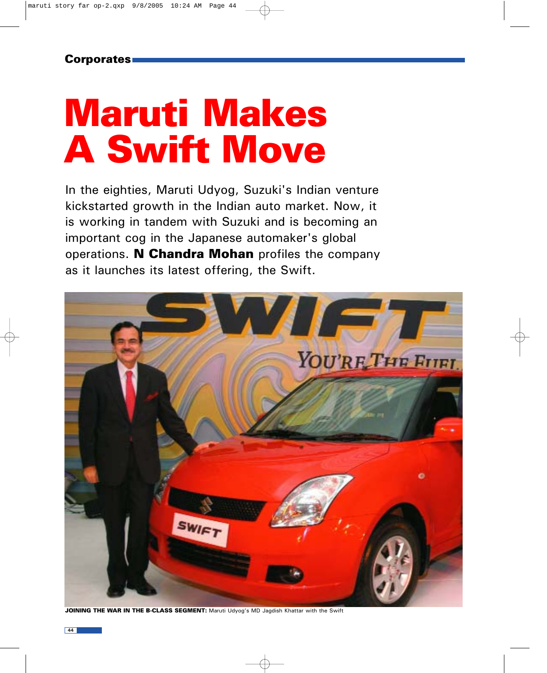# Maruti Makes A Swift Move

In the eighties, Maruti Udyog, Suzuki's Indian venture kickstarted growth in the Indian auto market. Now, it is working in tandem with Suzuki and is becoming an important cog in the Japanese automaker's global operations. N Chandra Mohan profiles the company as it launches its latest offering, the Swift.



JOINING THE WAR IN THE B-CLASS SEGMENT: Maruti Udyog's MD Jagdish Khattar with the Swift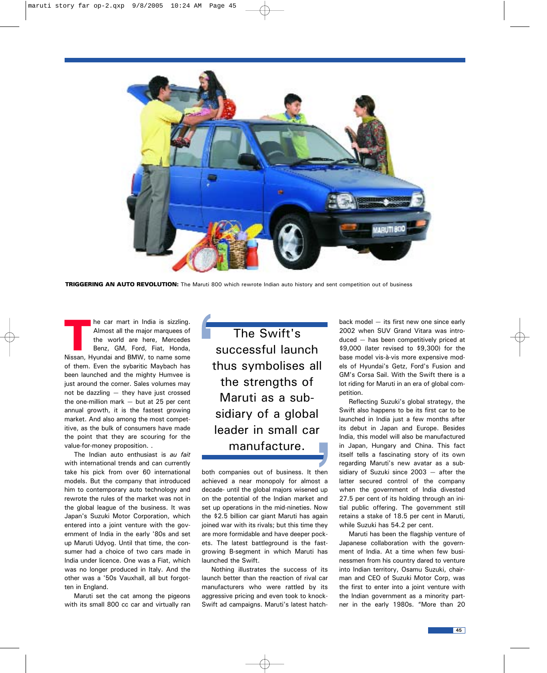

TRIGGERING AN AUTO REVOLUTION: The Maruti 800 which rewrote Indian auto history and sent competition out of business

The car mart in India is sizzling.<br>
Almost all the major marquees of<br>
the world are here, Mercedes<br>
Benz, GM, Ford, Fiat, Honda,<br>
Nissan Hyundai and BMW, to name some Almost all the major marquees of the world are here, Mercedes Nissan, Hyundai and BMW, to name some of them. Even the sybaritic Maybach has been launched and the mighty Humvee is just around the corner. Sales volumes may not be dazzling — they have just crossed the one-million mark — but at 25 per cent annual growth, it is the fastest growing market. And also among the most competitive, as the bulk of consumers have made the point that they are scouring for the value-for-money proposition. .

The Indian auto enthusiast is *au fait* with international trends and can currently take his pick from over 60 international models. But the company that introduced him to contemporary auto technology and rewrote the rules of the market was not in the global league of the business. It was Japan's Suzuki Motor Corporation, which entered into a joint venture with the government of India in the early '80s and set up Maruti Udyog. Until that time, the consumer had a choice of two cars made in India under licence. One was a Fiat, which was no longer produced in Italy. And the other was a '50s Vauxhall, all but forgotten in England.

Maruti set the cat among the pigeons with its small 800 cc car and virtually ran

The Swift's successful launch thus symbolises all the strengths of Maruti as a subsidiary of a global leader in small car manufacture.

both companies out of business. It then achieved a near monopoly for almost a decade- until the global majors wisened up on the potential of the Indian market and set up operations in the mid-nineties. Now the \$2.5 billion car giant Maruti has again joined war with its rivals; but this time they are more formidable and have deeper pockets. The latest battleground is the fastgrowing B-segment in which Maruti has launched the Swift.

Nothing illustrates the success of its launch better than the reaction of rival car manufacturers who were rattled by its aggressive pricing and even took to knock-Swift ad campaigns. Maruti's latest hatchback model — its first new one since early 2002 when SUV Grand Vitara was introduced — has been competitively priced at \$9,000 (later revised to \$9,300) for the base model vis-à-vis more expensive models of Hyundai's Getz, Ford's Fusion and GM's Corsa Sail. With the Swift there is a lot riding for Maruti in an era of global competition.

Reflecting Suzuki's global strategy, the Swift also happens to be its first car to be launched in India just a few months after its debut in Japan and Europe. Besides India, this model will also be manufactured in Japan, Hungary and China. This fact itself tells a fascinating story of its own regarding Maruti's new avatar as a subsidiary of Suzuki since 2003 — after the latter secured control of the company when the government of India divested 27.5 per cent of its holding through an initial public offering. The government still retains a stake of 18.5 per cent in Maruti, while Suzuki has 54.2 per cent.

Maruti has been the flagship venture of Japanese collaboration with the government of India. At a time when few businessmen from his country dared to venture into Indian territory, Osamu Suzuki, chairman and CEO of Suzuki Motor Corp, was the first to enter into a joint venture with the Indian government as a minority partner in the early 1980s. "More than 20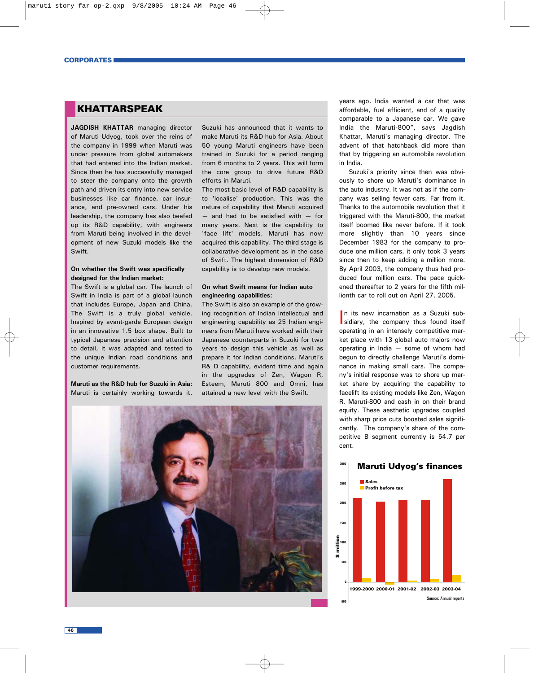## KHATTARSPEAK

**JAGDISH KHATTAR** managing director of Maruti Udyog, took over the reins of the company in 1999 when Maruti was under pressure from global automakers that had entered into the Indian market. Since then he has successfully managed to steer the company onto the growth path and driven its entry into new service businesses like car finance, car insurance, and pre-owned cars. Under his leadership, the company has also beefed up its R&D capability, with engineers from Maruti being involved in the development of new Suzuki models like the **Swift.** 

#### **On whether the Swift was specifically designed for the Indian market:**

The Swift is a global car. The launch of Swift in India is part of a global launch that includes Europe, Japan and China. The Swift is a truly global vehicle. Inspired by avant-garde European design in an innovative 1.5 box shape. Built to typical Japanese precision and attention to detail, it was adapted and tested to the unique Indian road conditions and customer requirements.

**Maruti as the R&D hub for Suzuki in Asia:** Maruti is certainly working towards it.

Suzuki has announced that it wants to make Maruti its R&D hub for Asia. About 50 young Maruti engineers have been trained in Suzuki for a period ranging from 6 months to 2 years. This will form the core group to drive future R&D efforts in Maruti.

The most basic level of R&D capability is to 'localise' production. This was the nature of capability that Maruti acquired — and had to be satisfied with — for many years. Next is the capability to 'face lift' models. Maruti has now acquired this capability. The third stage is collaborative development as in the case of Swift. The highest dimension of R&D capability is to develop new models.

#### **On what Swift means for Indian auto engineering capabilities:**

The Swift is also an example of the growing recognition of Indian intellectual and engineering capability as 25 Indian engineers from Maruti have worked with their Japanese counterparts in Suzuki for two years to design this vehicle as well as prepare it for Indian conditions. Maruti's R& D capability, evident time and again in the upgrades of Zen, Wagon R, Esteem, Maruti 800 and Omni, has attained a new level with the Swift.



years ago, India wanted a car that was affordable, fuel efficient, and of a quality comparable to a Japanese car. We gave India the Maruti-800", says Jagdish Khattar, Maruti's managing director. The advent of that hatchback did more than that by triggering an automobile revolution in India.

Suzuki's priority since then was obviously to shore up Maruti's dominance in the auto industry. It was not as if the company was selling fewer cars. Far from it. Thanks to the automobile revolution that it triggered with the Maruti-800, the market itself boomed like never before. If it took more slightly than 10 years since December 1983 for the company to produce one million cars, it only took 3 years since then to keep adding a million more. By April 2003, the company thus had produced four million cars. The pace quickened thereafter to 2 years for the fifth millionth car to roll out on April 27, 2005.

In its new incarnation as a Suzuki sub-<br>sidiary, the company thus found itself In its new incarnation as a Suzuki suboperating in an intensely competitive market place with 13 global auto majors now operating in India — some of whom had begun to directly challenge Maruti's dominance in making small cars. The company's initial response was to shore up market share by acquiring the capability to facelift its existing models like Zen, Wagon R, Maruti-800 and cash in on their brand equity. These aesthetic upgrades coupled with sharp price cuts boosted sales significantly. The company's share of the competitive B segment currently is 54.7 per cent.